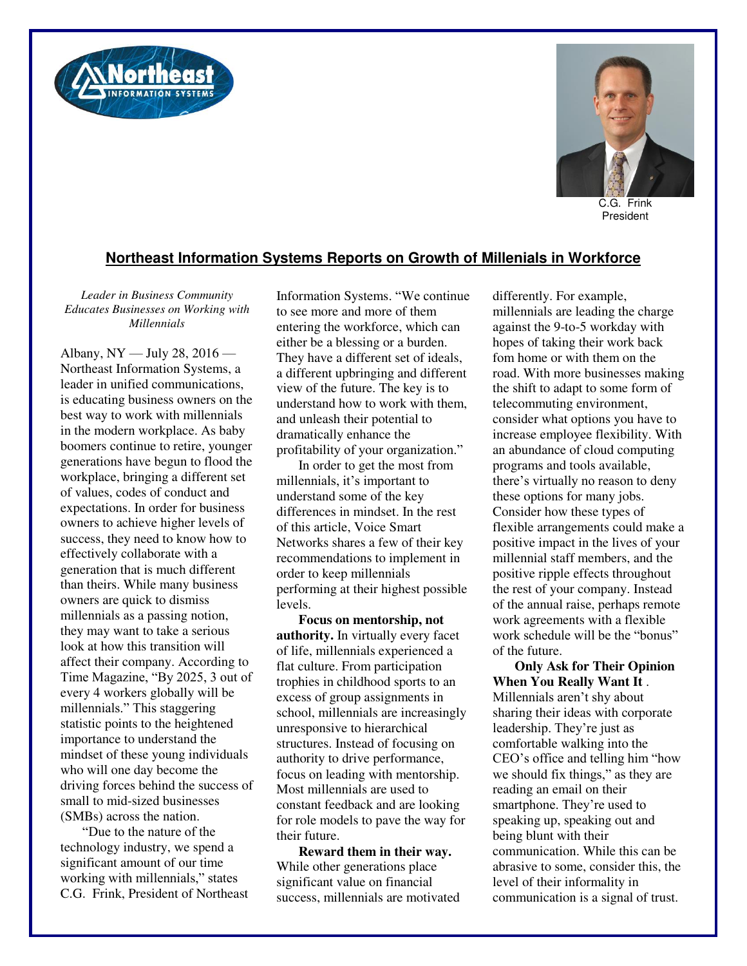



C.G. Frink President

## **Northeast Information Systems Reports on Growth of Millenials in Workforce**

*Leader in Business Community Educates Businesses on Working with Millennials* 

Albany, NY — July 28, 2016 — Northeast Information Systems, a leader in unified communications, is educating business owners on the best way to work with millennials in the modern workplace. As baby boomers continue to retire, younger generations have begun to flood the workplace, bringing a different set of values, codes of conduct and expectations. In order for business owners to achieve higher levels of success, they need to know how to effectively collaborate with a generation that is much different than theirs. While many business owners are quick to dismiss millennials as a passing notion, they may want to take a serious look at how this transition will affect their company. According to Time Magazine, "By 2025, 3 out of every 4 workers globally will be millennials." This staggering statistic points to the heightened importance to understand the mindset of these young individuals who will one day become the driving forces behind the success of small to mid-sized businesses (SMBs) across the nation.

"Due to the nature of the technology industry, we spend a significant amount of our time working with millennials," states C.G. Frink, President of Northeast Information Systems. "We continue to see more and more of them entering the workforce, which can either be a blessing or a burden. They have a different set of ideals, a different upbringing and different view of the future. The key is to understand how to work with them, and unleash their potential to dramatically enhance the profitability of your organization."

In order to get the most from millennials, it's important to understand some of the key differences in mindset. In the rest of this article, Voice Smart Networks shares a few of their key recommendations to implement in order to keep millennials performing at their highest possible levels.

**Focus on mentorship, not authority.** In virtually every facet of life, millennials experienced a flat culture. From participation trophies in childhood sports to an excess of group assignments in school, millennials are increasingly unresponsive to hierarchical structures. Instead of focusing on authority to drive performance, focus on leading with mentorship. Most millennials are used to constant feedback and are looking for role models to pave the way for their future.

**Reward them in their way.** While other generations place significant value on financial success, millennials are motivated differently. For example, millennials are leading the charge against the 9-to-5 workday with hopes of taking their work back fom home or with them on the road. With more businesses making the shift to adapt to some form of telecommuting environment, consider what options you have to increase employee flexibility. With an abundance of cloud computing programs and tools available, there's virtually no reason to deny these options for many jobs. Consider how these types of flexible arrangements could make a positive impact in the lives of your millennial staff members, and the positive ripple effects throughout the rest of your company. Instead of the annual raise, perhaps remote work agreements with a flexible work schedule will be the "bonus" of the future.

**Only Ask for Their Opinion When You Really Want It** . Millennials aren't shy about sharing their ideas with corporate leadership. They're just as comfortable walking into the CEO's office and telling him "how we should fix things," as they are reading an email on their smartphone. They're used to speaking up, speaking out and being blunt with their communication. While this can be abrasive to some, consider this, the level of their informality in communication is a signal of trust.